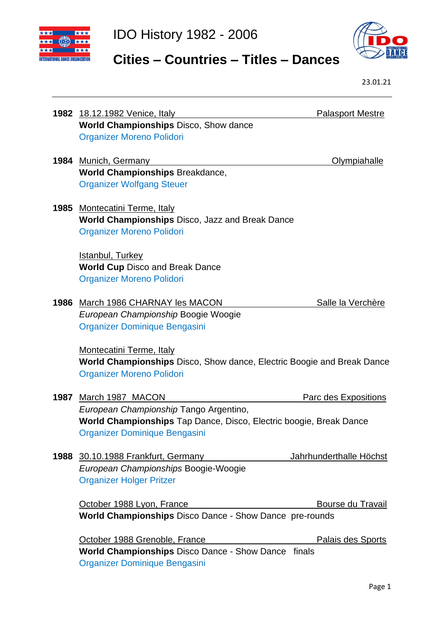



# **Cities – Countries – Titles – Dances**

|      |                                                                                                                                               | 23.01.21                 |
|------|-----------------------------------------------------------------------------------------------------------------------------------------------|--------------------------|
|      | 1982 18.12.1982 Venice, Italy                                                                                                                 | <b>Palasport Mestre</b>  |
|      | <b>World Championships Disco, Show dance</b><br><b>Organizer Moreno Polidori</b>                                                              |                          |
| 1984 | Munich, Germany                                                                                                                               | <u>Olympiahalle</u>      |
|      | <b>World Championships Breakdance,</b><br><b>Organizer Wolfgang Steuer</b>                                                                    |                          |
| 1985 | <b>Montecatini Terme, Italy</b><br><b>World Championships Disco, Jazz and Break Dance</b><br><b>Organizer Moreno Polidori</b>                 |                          |
|      | Istanbul, Turkey<br><b>World Cup Disco and Break Dance</b><br><b>Organizer Moreno Polidori</b>                                                |                          |
| 1986 | March 1986 CHARNAY les MACON<br>European Championship Boogie Woogie<br>Organizer Dominique Bengasini                                          | Salle la Verchère        |
|      | Montecatini Terme, Italy<br><b>World Championships</b> Disco, Show dance, Electric Boogie and Break Dance<br><b>Organizer Moreno Polidori</b> |                          |
| 1987 | March 1987 MACON                                                                                                                              | Parc des Expositions     |
|      | European Championship Tango Argentino,<br>World Championships Tap Dance, Disco, Electric boogie, Break Dance<br>Organizer Dominique Bengasini |                          |
|      | 1988 30.10.1988 Frankfurt, Germany<br>European Championships Boogie-Woogie<br><b>Organizer Holger Pritzer</b>                                 | Jahrhunderthalle Höchst  |
|      | October 1988 Lyon, France                                                                                                                     | Bourse du Travail        |
|      | World Championships Disco Dance - Show Dance pre-rounds                                                                                       |                          |
|      | October 1988 Grenoble, France                                                                                                                 | <b>Palais des Sports</b> |
|      | <b>World Championships Disco Dance - Show Dance finals</b><br>Organizer Dominique Bengasini                                                   |                          |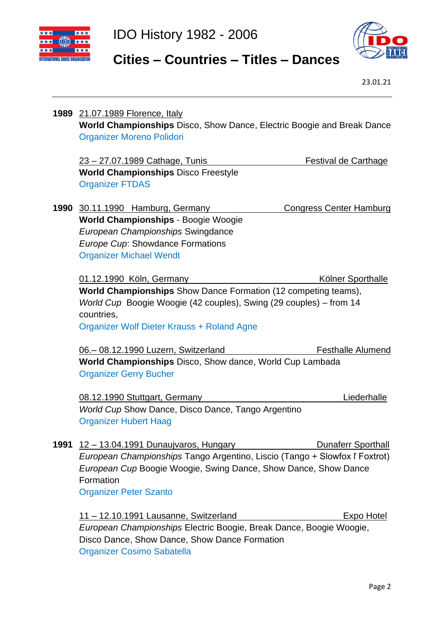



# **Cities – Countries – Titles – Dances**

23.01.21

|      | 1989 21.07.1989 Florence, Italy                                             |                                |
|------|-----------------------------------------------------------------------------|--------------------------------|
|      | World Championships Disco, Show Dance, Electric Boogie and Break Dance      |                                |
|      | <b>Organizer Moreno Polidori</b>                                            |                                |
|      |                                                                             |                                |
|      | 23 - 27.07.1989 Cathage, Tunis                                              | <b>Festival de Carthage</b>    |
|      | <b>World Championships Disco Freestyle</b>                                  |                                |
|      | <b>Organizer FTDAS</b>                                                      |                                |
| 1990 | 30.11.1990 Hamburg, Germany                                                 | <b>Congress Center Hamburg</b> |
|      | <b>World Championships - Boogie Woogie</b>                                  |                                |
|      | European Championships Swingdance                                           |                                |
|      | Europe Cup: Showdance Formations                                            |                                |
|      | <b>Organizer Michael Wendt</b>                                              |                                |
|      |                                                                             |                                |
|      | 01.12.1990 Köln, Germany                                                    | <b>Kölner Sporthalle</b>       |
|      | <b>World Championships</b> Show Dance Formation (12 competing teams),       |                                |
|      | World Cup Boogie Woogie (42 couples), Swing (29 couples) – from 14          |                                |
|      | countries,                                                                  |                                |
|      | <b>Organizer Wolf Dieter Krauss + Roland Agne</b>                           |                                |
|      |                                                                             |                                |
|      | 06. - 08.12.1990 Luzern, Switzerland                                        | <b>Festhalle Alumend</b>       |
|      | <b>World Championships</b> Disco, Show dance, World Cup Lambada             |                                |
|      | <b>Organizer Gerry Bucher</b>                                               |                                |
|      |                                                                             |                                |
|      | 08.12.1990 Stuttgart, Germany                                               | Liederhalle                    |
|      | World Cup Show Dance, Disco Dance, Tango Argentino                          |                                |
|      | <b>Organizer Hubert Haag</b>                                                |                                |
|      |                                                                             |                                |
| 1991 | <u> 12 – 13.04.1991 Dunaujvaros, Hungary</u>                                | <b>Dunaferr Sporthall</b>      |
|      | European Championships Tango Argentino, Liscio (Tango + Slowfox l' Foxtrot) |                                |
|      | European Cup Boogie Woogie, Swing Dance, Show Dance, Show Dance             |                                |
|      | Formation                                                                   |                                |
|      | <b>Organizer Peter Szanto</b>                                               |                                |
|      |                                                                             |                                |
|      | <u> 11 – 12.10.1991 Lausanne, Switzerland</u>                               | Expo Hotel                     |
|      | European Championships Electric Boogie, Break Dance, Boogie Woogie,         |                                |
|      | Disco Dance, Show Dance, Show Dance Formation                               |                                |
|      |                                                                             |                                |

Organizer Cosimo Sabatella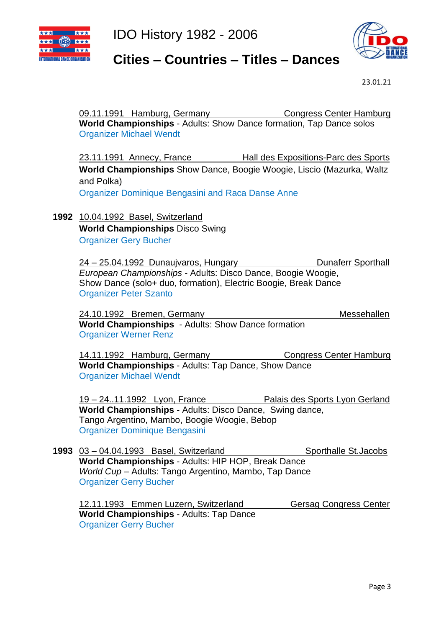



#### **Cities – Countries – Titles – Dances**

23.01.21

09.11.1991 Hamburg, Germany Congress Center Hamburg **World Championships** - Adults: Show Dance formation, Tap Dance solos Organizer Michael Wendt 23.11.1991 Annecy, France Hall des Expositions-Parc des Sports **World Championships** Show Dance, Boogie Woogie, Liscio (Mazurka, Waltz and Polka) Organizer Dominique Bengasini and Raca Danse Anne **1992** 10.04.1992 Basel, Switzerland **World Championships** Disco Swing Organizer Gery Bucher 24 – 25.04.1992 Dunaujvaros, Hungary Dunaferr Sporthall *European Championships* - Adults: Disco Dance, Boogie Woogie, Show Dance (solo+ duo, formation), Electric Boogie, Break Dance Organizer Peter Szanto 24.10.1992 Bremen, Germany Messehallen **World Championships** - Adults: Show Dance formation Organizer Werner Renz 14.11.1992 Hamburg, Germany Congress Center Hamburg **World Championships** - Adults: Tap Dance, Show Dance Organizer Michael Wendt 19 – 24..11.1992 Lyon, France Palais des Sports Lyon Gerland **World Championships** - Adults: Disco Dance, Swing dance, Tango Argentino, Mambo, Boogie Woogie, Bebop Organizer Dominique Bengasini 1993 03 – 04.04.1993 Basel, Switzerland Sporthalle St.Jacobs **World Championships** - Adults: HIP HOP, Break Dance *World Cup* – Adults: Tango Argentino, Mambo, Tap Dance Organizer Gerry Bucher

12.11.1993 Emmen Luzern, Switzerland Gersag Congress Center **World Championships** - Adults: Tap Dance Organizer Gerry Bucher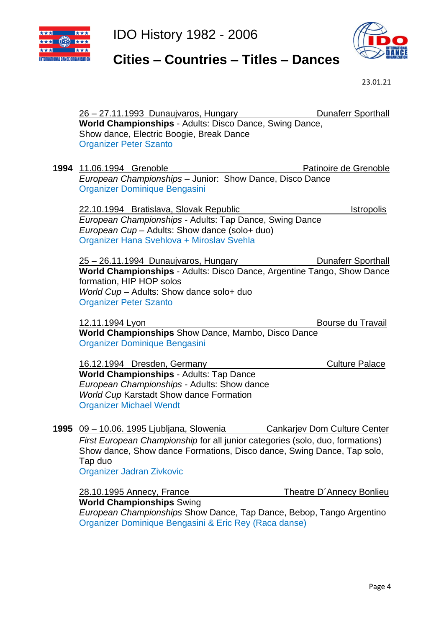



# **Cities – Countries – Titles – Dances**

| <u>26 – 27.11.1993 Dunaujvaros, Hungary</u>                                   | <b>Dunaferr Sporthall</b>           |
|-------------------------------------------------------------------------------|-------------------------------------|
| World Championships - Adults: Disco Dance, Swing Dance,                       |                                     |
| Show dance, Electric Boogie, Break Dance                                      |                                     |
| <b>Organizer Peter Szanto</b>                                                 |                                     |
|                                                                               |                                     |
| 1994 11.06.1994 Grenoble                                                      | Patinoire de Grenoble               |
| European Championships - Junior: Show Dance, Disco Dance                      |                                     |
| Organizer Dominique Bengasini                                                 |                                     |
| 22.10.1994 Bratislava, Slovak Republic                                        | <b>Istropolis</b>                   |
| European Championships - Adults: Tap Dance, Swing Dance                       |                                     |
| European Cup - Adults: Show dance (solo+ duo)                                 |                                     |
| Organizer Hana Svehlova + Miroslav Svehla                                     |                                     |
|                                                                               |                                     |
| <u>25 – 26.11.1994 Dunaujvaros, Hungary</u>                                   | <b>Dunaferr Sporthall</b>           |
| World Championships - Adults: Disco Dance, Argentine Tango, Show Dance        |                                     |
| formation, HIP HOP solos                                                      |                                     |
| World Cup - Adults: Show dance solo+ duo                                      |                                     |
| <b>Organizer Peter Szanto</b>                                                 |                                     |
|                                                                               |                                     |
| 12.11.1994 Lyon                                                               | Bourse du Travail                   |
| World Championships Show Dance, Mambo, Disco Dance                            |                                     |
| Organizer Dominique Bengasini                                                 |                                     |
|                                                                               |                                     |
| 16.12.1994 Dresden, Germany                                                   | <b>Culture Palace</b>               |
| World Championships - Adults: Tap Dance                                       |                                     |
| European Championships - Adults: Show dance                                   |                                     |
| World Cup Karstadt Show dance Formation                                       |                                     |
| <b>Organizer Michael Wendt</b>                                                |                                     |
|                                                                               |                                     |
| 1995 09 - 10.06. 1995 Ljubljana, Slowenia                                     | <b>Cankarjev Dom Culture Center</b> |
| First European Championship for all junior categories (solo, duo, formations) |                                     |
| Show dance, Show dance Formations, Disco dance, Swing Dance, Tap solo,        |                                     |
| Tap duo                                                                       |                                     |
| Organizer Jadran Zivkovic                                                     |                                     |
| <b>28.10.1995 Annecy, France</b>                                              | Theatre D'Annecy Bonlieu            |
| <b>World Championships Swing</b>                                              |                                     |
| European Championships Show Dance, Tap Dance, Bebop, Tango Argentino          |                                     |
| Organizer Dominique Bengasini & Eric Rey (Raca danse)                         |                                     |
|                                                                               |                                     |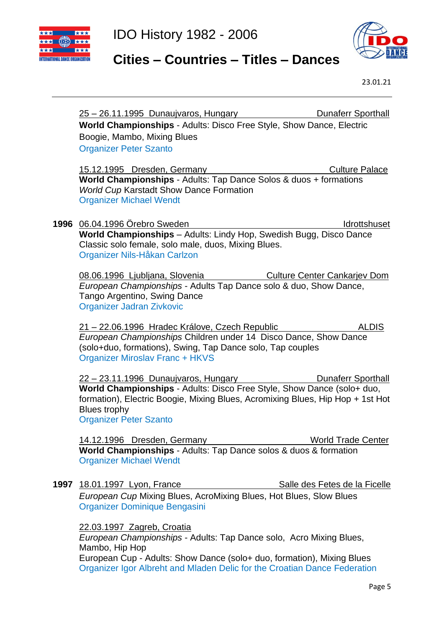



#### **Cities – Countries – Titles – Dances**

|      | <b>Dunaferr Sporthall</b><br><u>25 – 26.11.1995 Dunaujvaros, Hungary</u>                                                                            |
|------|-----------------------------------------------------------------------------------------------------------------------------------------------------|
|      | World Championships - Adults: Disco Free Style, Show Dance, Electric                                                                                |
|      | Boogie, Mambo, Mixing Blues                                                                                                                         |
|      | <b>Organizer Peter Szanto</b>                                                                                                                       |
|      | 15.12.1995 Dresden, Germany<br><b>Culture Palace</b>                                                                                                |
|      | World Championships - Adults: Tap Dance Solos & duos + formations                                                                                   |
|      | <b>World Cup Karstadt Show Dance Formation</b>                                                                                                      |
|      | <b>Organizer Michael Wendt</b>                                                                                                                      |
|      | 1996 06.04.1996 Örebro Sweden<br>Idrottshuset                                                                                                       |
|      | World Championships - Adults: Lindy Hop, Swedish Bugg, Disco Dance                                                                                  |
|      | Classic solo female, solo male, duos, Mixing Blues.                                                                                                 |
|      | Organizer Nils-Håkan Carlzon                                                                                                                        |
|      | 08.06.1996 Ljubljana, Slovenia<br><b>Culture Center Cankarjev Dom</b>                                                                               |
|      | European Championships - Adults Tap Dance solo & duo, Show Dance,                                                                                   |
|      | Tango Argentino, Swing Dance                                                                                                                        |
|      | <b>Organizer Jadran Zivkovic</b>                                                                                                                    |
|      | 21 – 22.06.1996 Hradec Králove, Czech Republic<br><b>ALDIS</b>                                                                                      |
|      | European Championships Children under 14 Disco Dance, Show Dance                                                                                    |
|      | (solo+duo, formations), Swing, Tap Dance solo, Tap couples<br><b>Organizer Miroslav Franc + HKVS</b>                                                |
|      |                                                                                                                                                     |
|      | 22 – 23.11.1996 Dunaujvaros, Hungary<br><b>Dunaferr Sporthall</b>                                                                                   |
|      | World Championships - Adults: Disco Free Style, Show Dance (solo+ duo,                                                                              |
|      | formation), Electric Boogie, Mixing Blues, Acromixing Blues, Hip Hop + 1st Hot<br><b>Blues trophy</b>                                               |
|      | <b>Organizer Peter Szanto</b>                                                                                                                       |
|      |                                                                                                                                                     |
|      | 14.12.1996 Dresden, Germany<br><b>World Trade Center</b><br>World Championships - Adults: Tap Dance solos & duos & formation                        |
|      | <b>Organizer Michael Wendt</b>                                                                                                                      |
|      |                                                                                                                                                     |
| 1997 | Salle des Fetes de la Ficelle<br>18.01.1997 Lyon, France                                                                                            |
|      | European Cup Mixing Blues, AcroMixing Blues, Hot Blues, Slow Blues                                                                                  |
|      | Organizer Dominique Bengasini                                                                                                                       |
|      | 22.03.1997 Zagreb, Croatia                                                                                                                          |
|      | European Championships - Adults: Tap Dance solo, Acro Mixing Blues,                                                                                 |
|      | Mambo, Hip Hop                                                                                                                                      |
|      | European Cup - Adults: Show Dance (solo+ duo, formation), Mixing Blues<br>Organizer Igor Albreht and Mladen Delic for the Croatian Dance Federation |
|      |                                                                                                                                                     |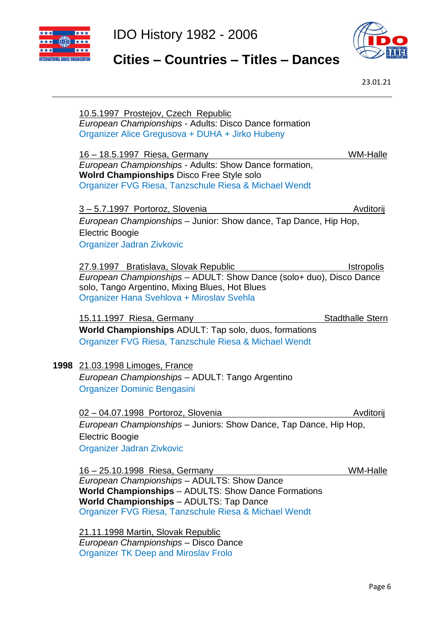





23.01.21

|      | 10.5.1997 Prostejov, Czech Republic                                           |                         |
|------|-------------------------------------------------------------------------------|-------------------------|
|      | European Championships - Adults: Disco Dance formation                        |                         |
|      | Organizer Alice Gregusova + DUHA + Jirko Hubeny                               |                         |
|      | 16 - 18.5.1997 Riesa, Germany                                                 | WM-Halle                |
|      | European Championships - Adults: Show Dance formation,                        |                         |
|      | Wolrd Championships Disco Free Style solo                                     |                         |
|      | Organizer FVG Riesa, Tanzschule Riesa & Michael Wendt                         |                         |
|      | 3-5.7.1997 Portoroz, Slovenia                                                 | Avditorij               |
|      | European Championships - Junior: Show dance, Tap Dance, Hip Hop,              |                         |
|      | <b>Electric Boogie</b>                                                        |                         |
|      | Organizer Jadran Zivkovic                                                     |                         |
|      | 27.9.1997 Bratislava, Slovak Republic                                         | <b>Istropolis</b>       |
|      | European Championships - ADULT: Show Dance (solo+ duo), Disco Dance           |                         |
|      | solo, Tango Argentino, Mixing Blues, Hot Blues                                |                         |
|      | Organizer Hana Svehlova + Miroslav Svehla                                     |                         |
|      | 15.11.1997 Riesa, Germany                                                     | <b>Stadthalle Stern</b> |
|      | World Championships ADULT: Tap solo, duos, formations                         |                         |
|      | Organizer FVG Riesa, Tanzschule Riesa & Michael Wendt                         |                         |
| 1998 | 21.03.1998 Limoges, France                                                    |                         |
|      | European Championships - ADULT: Tango Argentino                               |                         |
|      | Organizer Dominic Bengasini                                                   |                         |
|      | 02 - 04.07.1998 Portoroz, Slovenia                                            | Avditorij               |
|      | European Championships - Juniors: Show Dance, Tap Dance, Hip Hop,             |                         |
|      | <b>Electric Boogie</b>                                                        |                         |
|      | Organizer Jadran Zivkovic                                                     |                         |
|      |                                                                               |                         |
|      | 16 - 25.10.1998 Riesa, Germany<br>European Championships - ADULTS: Show Dance | WM-Halle                |
|      | World Championships - ADULTS: Show Dance Formations                           |                         |
|      | World Championships - ADULTS: Tap Dance                                       |                         |
|      | Organizer FVG Riesa, Tanzschule Riesa & Michael Wendt                         |                         |
|      | 21.11.1998 Martin, Slovak Republic                                            |                         |
|      |                                                                               |                         |

*European Championships* – Disco Dance Organizer TK Deep and Miroslav Frolo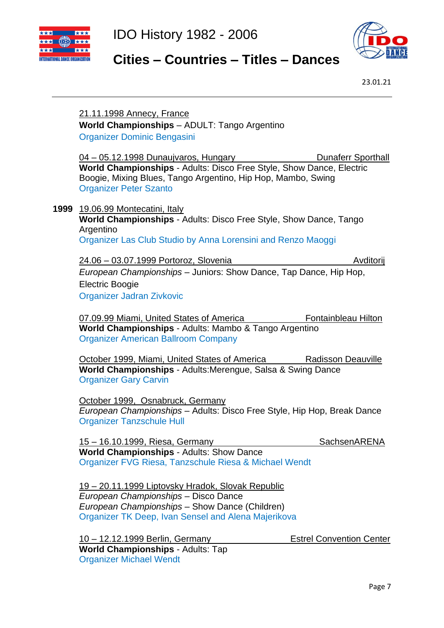



#### **Cities – Countries – Titles – Dances**

23.01.21

#### 21.11.1998 Annecy, France **World Championships** – ADULT: Tango Argentino Organizer Dominic Bengasini

04 – 05.12.1998 Dunaujvaros, Hungary Dunaferr Sporthall **World Championships** - Adults: Disco Free Style, Show Dance, Electric Boogie, Mixing Blues, Tango Argentino, Hip Hop, Mambo, Swing Organizer Peter Szanto

**1999** 19.06.99 Montecatini, Italy

**World Championships** - Adults: Disco Free Style, Show Dance, Tango Argentino

Organizer Las Club Studio by Anna Lorensini and Renzo Maoggi

24.06 – 03.07.1999 Portoroz, Slovenia 24.06 – Avditorij

*European Championships* – Juniors: Show Dance, Tap Dance, Hip Hop, Electric Boogie

Organizer Jadran Zivkovic

07.09.99 Miami, United States of America Fontainbleau Hilton **World Championships** - Adults: Mambo & Tango Argentino Organizer American Ballroom Company

October 1999, Miami, United States of America Radisson Deauville **World Championships** - Adults:Merengue, Salsa & Swing Dance Organizer Gary Carvin

October 1999, Osnabruck, Germany *European Championships* – Adults: Disco Free Style, Hip Hop, Break Dance Organizer Tanzschule Hull

15 – 16.10.1999, Riesa, Germany SachsenARENA **World Championships** - Adults: Show Dance Organizer FVG Riesa, Tanzschule Riesa & Michael Wendt

19 – 20.11.1999 Liptovsky Hradok, Slovak Republic *European Championships* – Disco Dance *European Championships* – Show Dance (Children) Organizer TK Deep, Ivan Sensel and Alena Majerikova

10 – 12.12.1999 Berlin, Germany Estrel Convention Center **World Championships** - Adults: Tap Organizer Michael Wendt

Page 7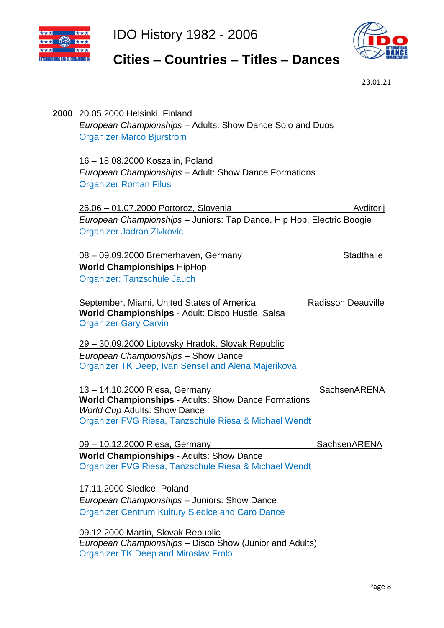



# **Cities – Countries – Titles – Dances**

23.01.21

| 2000 20.05.2000 Helsinki, Finland<br>European Championships - Adults: Show Dance Solo and Duos<br><b>Organizer Marco Bjurstrom</b>                  |                           |
|-----------------------------------------------------------------------------------------------------------------------------------------------------|---------------------------|
| <u> 16 – 18.08.2000 Koszalin, Poland</u><br>European Championships - Adult: Show Dance Formations<br><b>Organizer Roman Filus</b>                   |                           |
| <u> 26.06 - 01.07.2000 Portoroz, Slovenia</u><br>European Championships - Juniors: Tap Dance, Hip Hop, Electric Boogie<br>Organizer Jadran Zivkovic | Avditorij                 |
| 08 - 09.09.2000 Bremerhaven, Germany                                                                                                                | <b>Stadthalle</b>         |
| <b>World Championships HipHop</b>                                                                                                                   |                           |
| Organizer: Tanzschule Jauch                                                                                                                         |                           |
| September, Miami, United States of America<br>World Championships - Adult: Disco Hustle, Salsa<br><b>Organizer Gary Carvin</b>                      | <b>Radisson Deauville</b> |
| <u> 29 – 30.09.2000 Liptovsky Hradok, Slovak Republic</u>                                                                                           |                           |
| European Championships - Show Dance<br>Organizer TK Deep, Ivan Sensel and Alena Majerikova                                                          |                           |
| 13 - 14.10.2000 Riesa, Germany                                                                                                                      | SachsenARENA              |
| World Championships - Adults: Show Dance Formations<br><b>World Cup Adults: Show Dance</b>                                                          |                           |
| Organizer FVG Riesa, Tanzschule Riesa & Michael Wendt                                                                                               |                           |
| 09 - 10.12.2000 Riesa, Germany                                                                                                                      | SachsenARENA              |
| <b>World Championships - Adults: Show Dance</b><br>Organizer FVG Riesa, Tanzschule Riesa & Michael Wendt                                            |                           |
| 17.11.2000 Siedlce, Poland                                                                                                                          |                           |
| European Championships - Juniors: Show Dance                                                                                                        |                           |
| <b>Organizer Centrum Kultury Siedlce and Caro Dance</b>                                                                                             |                           |
| 09.12.2000 Martin, Slovak Republic<br>European Championships - Disco Show (Junior and Adults)                                                       |                           |

Organizer TK Deep and Miroslav Frolo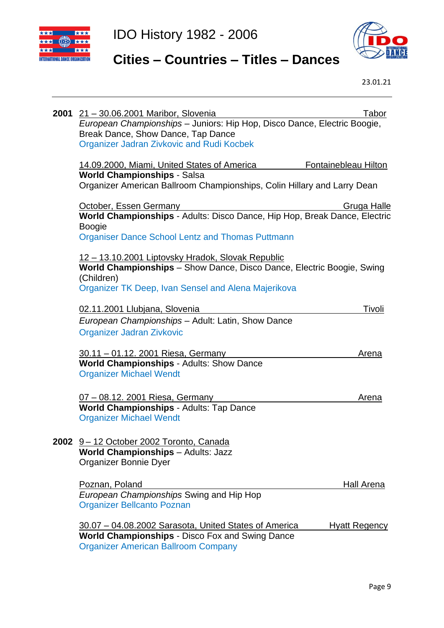



# **Cities – Countries – Titles – Dances**

| 2001 | 21 - 30.06.2001 Maribor, Slovenia<br>European Championships - Juniors: Hip Hop, Disco Dance, Electric Boogie,<br>Break Dance, Show Dance, Tap Dance<br><b>Organizer Jadran Zivkovic and Rudi Kocbek</b> | Tabor                |
|------|---------------------------------------------------------------------------------------------------------------------------------------------------------------------------------------------------------|----------------------|
|      | 14.09.2000, Miami, United States of America<br><b>World Championships - Salsa</b><br>Organizer American Ballroom Championships, Colin Hillary and Larry Dean                                            | Fontainebleau Hilton |
|      | October, Essen Germany<br>World Championships - Adults: Disco Dance, Hip Hop, Break Dance, Electric<br><b>Boogie</b><br><b>Organiser Dance School Lentz and Thomas Puttmann</b>                         | Gruga Halle          |
|      | <u> 12 – 13.10.2001 Liptovsky Hradok, Slovak Republic</u><br>World Championships - Show Dance, Disco Dance, Electric Boogie, Swing<br>(Children)<br>Organizer TK Deep, Ivan Sensel and Alena Majerikova |                      |
|      | 02.11.2001 Llubjana, Slovenia<br>European Championships - Adult: Latin, Show Dance<br><b>Organizer Jadran Zivkovic</b>                                                                                  | Tivoli               |
|      | 30.11 - 01.12. 2001 Riesa, Germany<br>World Championships - Adults: Show Dance<br><b>Organizer Michael Wendt</b>                                                                                        | <u>Arena</u>         |
|      | 07 - 08.12. 2001 Riesa, Germany<br>World Championships - Adults: Tap Dance<br><b>Organizer Michael Wendt</b>                                                                                            | Arena                |
|      | 2002 9-12 October 2002 Toronto, Canada<br><b>World Championships - Adults: Jazz</b><br>Organizer Bonnie Dyer                                                                                            |                      |
|      | Poznan, Poland<br>European Championships Swing and Hip Hop<br><b>Organizer Bellcanto Poznan</b>                                                                                                         | Hall Arena           |
|      | 30.07 - 04.08.2002 Sarasota, United States of America<br><b>World Championships - Disco Fox and Swing Dance</b><br><b>Organizer American Ballroom Company</b>                                           | <b>Hyatt Regency</b> |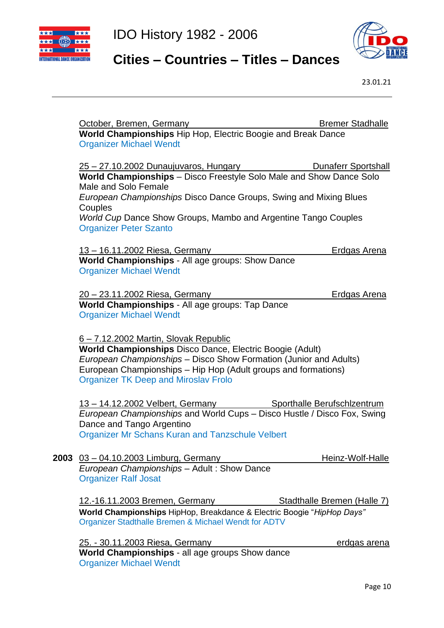



# **Cities – Countries – Titles – Dances**

|      | October, Bremen, Germany                                                                                                                                                                                                                                                              | <b>Bremer Stadhalle</b>     |
|------|---------------------------------------------------------------------------------------------------------------------------------------------------------------------------------------------------------------------------------------------------------------------------------------|-----------------------------|
|      | World Championships Hip Hop, Electric Boogie and Break Dance<br><b>Organizer Michael Wendt</b>                                                                                                                                                                                        |                             |
|      | <u>25 – 27.10.2002 Dunaujuvaros, Hungary</u><br>World Championships - Disco Freestyle Solo Male and Show Dance Solo                                                                                                                                                                   | Dunaferr Sportshall         |
|      | Male and Solo Female<br>European Championships Disco Dance Groups, Swing and Mixing Blues                                                                                                                                                                                             |                             |
|      | Couples<br>World Cup Dance Show Groups, Mambo and Argentine Tango Couples<br><b>Organizer Peter Szanto</b>                                                                                                                                                                            |                             |
|      | <u>13 – 16.11.2002 Riesa, Germany</u><br>World Championships - All age groups: Show Dance<br><b>Organizer Michael Wendt</b>                                                                                                                                                           | <b>Erdgas Arena</b>         |
|      | <u>20 - 23.11.2002 Riesa, Germany</u><br>World Championships - All age groups: Tap Dance<br><b>Organizer Michael Wendt</b>                                                                                                                                                            | <b>Erdgas Arena</b>         |
|      | 6-7.12.2002 Martin, Slovak Republic<br>World Championships Disco Dance, Electric Boogie (Adult)<br>European Championships - Disco Show Formation (Junior and Adults)<br>European Championships - Hip Hop (Adult groups and formations)<br><b>Organizer TK Deep and Miroslav Frolo</b> |                             |
|      | 13 - 14.12.2002 Velbert, Germany Sporthalle Berufschlzentrum<br>European Championships and World Cups - Disco Hustle / Disco Fox, Swing<br>Dance and Tango Argentino<br><b>Organizer Mr Schans Kuran and Tanzschule Velbert</b>                                                       |                             |
| 2003 | 03 - 04.10.2003 Limburg, Germany<br>European Championships - Adult: Show Dance<br><b>Organizer Ralf Josat</b>                                                                                                                                                                         | Heinz-Wolf-Halle            |
|      | <u>12.-16.11.2003 Bremen, Germany</u><br>World Championships HipHop, Breakdance & Electric Boogie "HipHop Days"<br>Organizer Stadthalle Bremen & Michael Wendt for ADTV                                                                                                               | Stadthalle Bremen (Halle 7) |
|      | 25. - 30.11.2003 Riesa, Germany<br>World Championships - all age groups Show dance<br><b>Organizer Michael Wendt</b>                                                                                                                                                                  | erdgas arena                |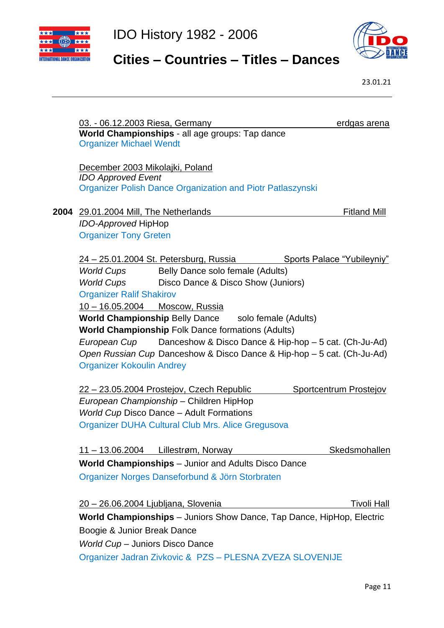



### **Cities – Countries – Titles – Dances**

|      | 03. - 06.12.2003 Riesa, Germany     |                                                                        | erdgas arena               |
|------|-------------------------------------|------------------------------------------------------------------------|----------------------------|
|      | <b>Organizer Michael Wendt</b>      | World Championships - all age groups: Tap dance                        |                            |
|      |                                     |                                                                        |                            |
|      | December 2003 Mikolajki, Poland     |                                                                        |                            |
|      | <b>IDO Approved Event</b>           |                                                                        |                            |
|      |                                     | <b>Organizer Polish Dance Organization and Piotr Patlaszynski</b>      |                            |
| 2004 | 29.01.2004 Mill, The Netherlands    |                                                                        | <b>Fitland Mill</b>        |
|      | <b>IDO-Approved HipHop</b>          |                                                                        |                            |
|      | <b>Organizer Tony Greten</b>        |                                                                        |                            |
|      |                                     |                                                                        |                            |
|      |                                     | <u> 24 – 25.01.2004 St. Petersburg, Russia</u>                         | Sports Palace "Yubileyniy" |
|      | World Cups                          | Belly Dance solo female (Adults)                                       |                            |
|      | <b>World Cups</b>                   | Disco Dance & Disco Show (Juniors)                                     |                            |
|      | <b>Organizer Ralif Shakirov</b>     |                                                                        |                            |
|      | 10 - 16.05.2004 Moscow, Russia      |                                                                        |                            |
|      |                                     | <b>World Championship Belly Dance solo female (Adults)</b>             |                            |
|      |                                     | <b>World Championship Folk Dance formations (Adults)</b>               |                            |
|      |                                     | European Cup Danceshow & Disco Dance & Hip-hop - 5 cat. (Ch-Ju-Ad)     |                            |
|      |                                     | Open Russian Cup Danceshow & Disco Dance & Hip-hop - 5 cat. (Ch-Ju-Ad) |                            |
|      | <b>Organizer Kokoulin Andrey</b>    |                                                                        |                            |
|      |                                     | <u>22 – 23.05.2004 Prostejov, Czech Republic</u>                       | Sportcentrum Prostejov     |
|      |                                     | European Championship - Children HipHop                                |                            |
|      |                                     | <b>World Cup Disco Dance - Adult Formations</b>                        |                            |
|      |                                     | Organizer DUHA Cultural Club Mrs. Alice Gregusova                      |                            |
|      |                                     |                                                                        |                            |
|      |                                     | <u>11 – 13.06.2004 Lillestrøm, Norway</u>                              | <b>Skedsmohallen</b>       |
|      |                                     | <b>World Championships</b> – Junior and Adults Disco Dance             |                            |
|      |                                     | Organizer Norges Danseforbund & Jörn Storbraten                        |                            |
|      | 20 - 26.06.2004 Ljubljana, Slovenia |                                                                        | <b>Tivoli Hall</b>         |
|      |                                     | World Championships - Juniors Show Dance, Tap Dance, HipHop, Electric  |                            |
|      | Boogie & Junior Break Dance         |                                                                        |                            |
|      | World Cup - Juniors Disco Dance     |                                                                        |                            |
|      |                                     | Organizer Jadran Zivkovic & PZS - PLESNA ZVEZA SLOVENIJE               |                            |
|      |                                     |                                                                        |                            |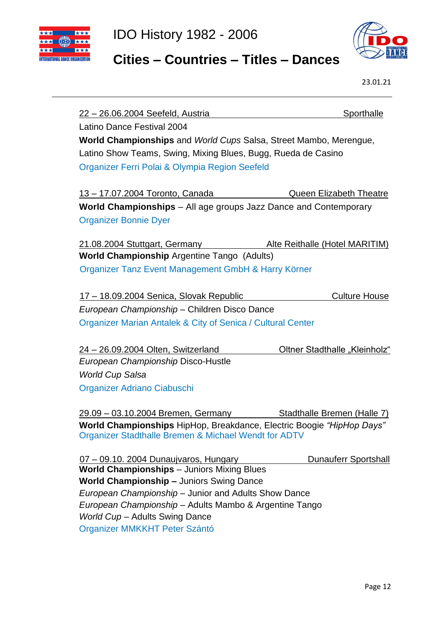



#### **Cities – Countries – Titles – Dances**

23.01.21

22 – 26.06.2004 Seefeld, Austria Sporthalle Latino Dance Festival 2004 **World Championships** and *World Cups* Salsa, Street Mambo, Merengue, Latino Show Teams, Swing, Mixing Blues, Bugg, Rueda de Casino Organizer Ferri Polai & Olympia Region Seefeld 13 – 17.07.2004 Toronto, Canada Queen Elizabeth Theatre **World Championships** – All age groups Jazz Dance and Contemporary Organizer Bonnie Dyer 21.08.2004 Stuttgart, Germany Alte Reithalle (Hotel MARITIM) **World Championship** Argentine Tango (Adults) Organizer Tanz Event Management GmbH & Harry Körner 17 – 18.09.2004 Senica, Slovak Republic Culture House *European Championship* – Children Disco Dance Organizer Marian Antalek & City of Senica / Cultural Center 24 – 26.09.2004 Olten, SwitzerlandOltner Stadthalle "Kleinholz" *European Championship* Disco-Hustle *World Cup Salsa*  Organizer Adriano Ciabuschi 29.09 – 03.10.2004 Bremen, Germany Stadthalle Bremen (Halle 7) **World Championships** HipHop, Breakdance, Electric Boogie *"HipHop Days"* Organizer Stadthalle Bremen & Michael Wendt for ADTV 07 – 09.10. 2004 Dunaujvaros, Hungary Dunauferr Sportshall **World Championships** – Juniors Mixing Blues **World Championship –** Juniors Swing Dance *European Championship* – Junior and Adults Show Dance *European Championship* – Adults Mambo & Argentine Tango *World Cup* – Adults Swing Dance Organizer MMKKHT Peter Szántó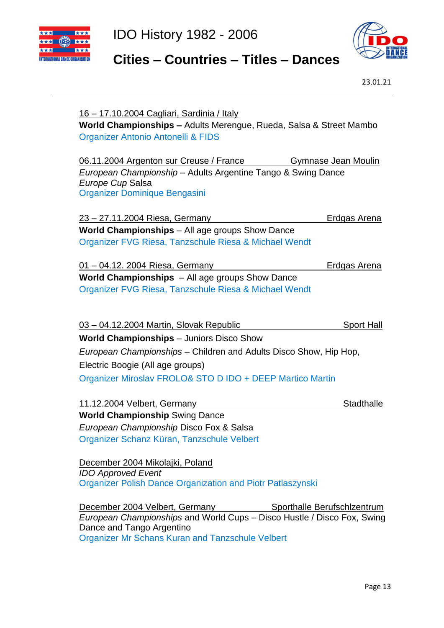



### **Cities – Countries – Titles – Dances**

| <u> 16 – 17.10.2004 Cagliari, Sardinia / Italy</u><br>World Championships - Adults Merengue, Rueda, Salsa & Street Mambo<br>Organizer Antonio Antonelli & FIDS                                                         |
|------------------------------------------------------------------------------------------------------------------------------------------------------------------------------------------------------------------------|
| 06.11.2004 Argenton sur Creuse / France<br>Gymnase Jean Moulin<br>European Championship - Adults Argentine Tango & Swing Dance<br>Europe Cup Salsa<br>Organizer Dominique Bengasini                                    |
| <u>23 – 27.11.2004 Riesa, Germany</u><br><b>Erdgas Arena</b>                                                                                                                                                           |
| World Championships - All age groups Show Dance<br>Organizer FVG Riesa, Tanzschule Riesa & Michael Wendt                                                                                                               |
| 01 - 04.12. 2004 Riesa, Germany<br><b>Erdgas Arena</b>                                                                                                                                                                 |
| <b>World Championships</b> - All age groups Show Dance                                                                                                                                                                 |
| Organizer FVG Riesa, Tanzschule Riesa & Michael Wendt                                                                                                                                                                  |
| 03 - 04.12.2004 Martin, Slovak Republic<br><b>Sport Hall</b>                                                                                                                                                           |
| <b>World Championships</b> - Juniors Disco Show                                                                                                                                                                        |
| European Championships - Children and Adults Disco Show, Hip Hop,                                                                                                                                                      |
| Electric Boogie (All age groups)                                                                                                                                                                                       |
| Organizer Miroslav FROLO& STO D IDO + DEEP Martico Martin                                                                                                                                                              |
| 11.12.2004 Velbert, Germany<br><b>Stadthalle</b>                                                                                                                                                                       |
| <b>World Championship Swing Dance</b>                                                                                                                                                                                  |
| European Championship Disco Fox & Salsa                                                                                                                                                                                |
| Organizer Schanz Küran, Tanzschule Velbert                                                                                                                                                                             |
| December 2004 Mikolajki, Poland<br><b>IDO Approved Event</b><br><b>Organizer Polish Dance Organization and Piotr Patlaszynski</b>                                                                                      |
| December 2004 Velbert, Germany Sporthalle Berufschlzentrum<br>European Championships and World Cups – Disco Hustle / Disco Fox, Swing<br>Dance and Tango Argentino<br>Organizer Mr Schans Kuran and Tanzschule Velbert |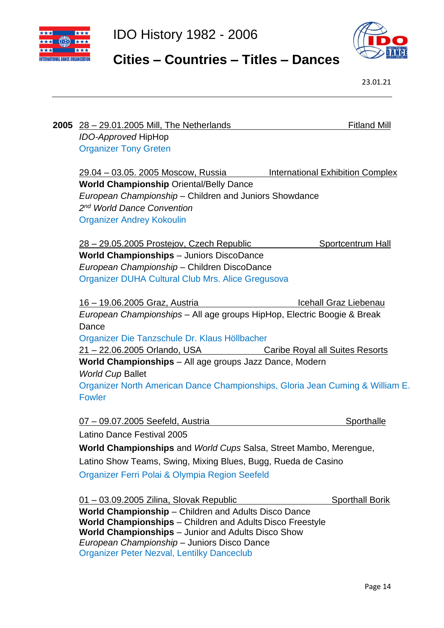



# **Cities – Countries – Titles – Dances**

23.01.21

| <b>Fitland Mill</b><br><b>2005</b> 28 – 29.01.2005 Mill, The Netherlands                                 |  |  |
|----------------------------------------------------------------------------------------------------------|--|--|
| <b>IDO-Approved HipHop</b>                                                                               |  |  |
| <b>Organizer Tony Greten</b>                                                                             |  |  |
| 29.04 – 03.05. 2005 Moscow, Russia<br><b>International Exhibition Complex</b>                            |  |  |
| <b>World Championship Oriental/Belly Dance</b>                                                           |  |  |
| European Championship - Children and Juniors Showdance                                                   |  |  |
| 2 <sup>nd</sup> World Dance Convention                                                                   |  |  |
| <b>Organizer Andrey Kokoulin</b>                                                                         |  |  |
| <u>28 – 29.05.2005 Prostejov, Czech Republic</u><br>Sportcentrum Hall                                    |  |  |
| <b>World Championships</b> - Juniors DiscoDance                                                          |  |  |
| European Championship - Children DiscoDance                                                              |  |  |
| Organizer DUHA Cultural Club Mrs. Alice Gregusova                                                        |  |  |
| 16 - 19.06.2005 Graz, Austria<br>Icehall Graz Liebenau                                                   |  |  |
| European Championships - All age groups HipHop, Electric Boogie & Break                                  |  |  |
| Dance                                                                                                    |  |  |
| Organizer Die Tanzschule Dr. Klaus Höllbacher                                                            |  |  |
| 21 - 22.06.2005 Orlando, USA<br><b>Caribe Royal all Suites Resorts</b>                                   |  |  |
| World Championships - All age groups Jazz Dance, Modern                                                  |  |  |
| <b>World Cup Ballet</b>                                                                                  |  |  |
| Organizer North American Dance Championships, Gloria Jean Cuming & William E.                            |  |  |
| <b>Fowler</b>                                                                                            |  |  |
| Sporthalle<br>07 - 09.07.2005 Seefeld, Austria                                                           |  |  |
| Latino Dance Festival 2005                                                                               |  |  |
| World Championships and World Cups Salsa, Street Mambo, Merengue,                                        |  |  |
| Latino Show Teams, Swing, Mixing Blues, Bugg, Rueda de Casino                                            |  |  |
| Organizer Ferri Polai & Olympia Region Seefeld                                                           |  |  |
|                                                                                                          |  |  |
| 01 - 03.09.2005 Zilina, Slovak Republic<br><b>Sporthall Borik</b>                                        |  |  |
| World Championship - Children and Adults Disco Dance                                                     |  |  |
| World Championships - Children and Adults Disco Freestyle                                                |  |  |
| <b>World Championships</b> - Junior and Adults Disco Show<br>European Championship - Juniors Disco Dance |  |  |
|                                                                                                          |  |  |

Organizer Peter Nezval, Lentilky Danceclub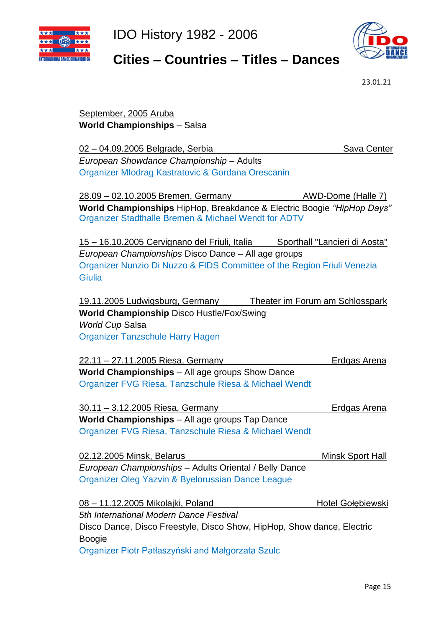



#### **Cities – Countries – Titles – Dances**

23.01.21

#### September, 2005 Aruba **World Championships** – Salsa

02 – 04.09.2005 Belgrade, Serbia Sava Center *European Showdance Championship* – Adults Organizer MIodrag Kastratovic & Gordana Orescanin

28.09 – 02.10.2005 Bremen, Germany AWD-Dome (Halle 7) **World Championships** HipHop, Breakdance & Electric Boogie *"HipHop Days"* Organizer Stadthalle Bremen & Michael Wendt for ADTV

15 – 16.10.2005 Cervignano del Friuli, Italia Sporthall "Lancieri di Aosta" *European Championships* Disco Dance – All age groups Organizer Nunzio Di Nuzzo & FIDS Committee of the Region Friuli Venezia **Giulia** 

19.11.2005 Ludwigsburg, Germany Theater im Forum am Schlosspark **World Championship** Disco Hustle/Fox/Swing *World Cup* Salsa Organizer Tanzschule Harry Hagen

22.11 – 27.11.2005 Riesa, Germany Erdgas Arena **World Championships** – All age groups Show Dance Organizer FVG Riesa, Tanzschule Riesa & Michael Wendt

30.11 – 3.12.2005 Riesa, Germany Erdgas Arena **World Championships** – All age groups Tap Dance Organizer FVG Riesa, Tanzschule Riesa & Michael Wendt

| 02.12.2005 Minsk, Belarus                              | Minsk Sport Hall |
|--------------------------------------------------------|------------------|
| European Championships - Adults Oriental / Belly Dance |                  |
| Organizer Oleg Yazvin & Byelorussian Dance League      |                  |

08 – 11.12.2005 Mikolajki, Poland Hotel Gołębiewski *5th International Modern Dance Festival* Disco Dance, Disco Freestyle, Disco Show, HipHop, Show dance, Electric Boogie Organizer Piotr Patłaszyński and Małgorzata Szulc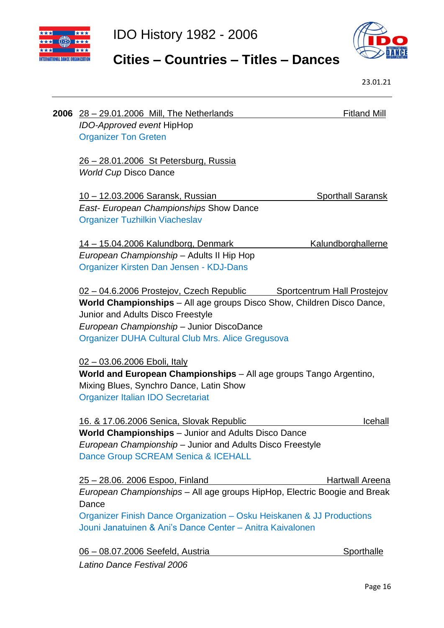



# **Cities – Countries – Titles – Dances**

23.01.21

| 2006 | <u>28 – 29.01.2006 Mill, The Netherlands</u>                                                                                                                                                                                                              | <b>Fitland Mill</b>         |
|------|-----------------------------------------------------------------------------------------------------------------------------------------------------------------------------------------------------------------------------------------------------------|-----------------------------|
|      | IDO-Approved event HipHop<br><b>Organizer Ton Greten</b>                                                                                                                                                                                                  |                             |
|      | <u>26 – 28.01.2006 St Petersburg, Russia</u><br><b>World Cup Disco Dance</b>                                                                                                                                                                              |                             |
|      | <u> 10 – 12.03.2006 Saransk, Russian</u><br><b>East- European Championships Show Dance</b><br><b>Organizer Tuzhilkin Viacheslav</b>                                                                                                                       | <b>Sporthall Saransk</b>    |
|      | 14 - 15.04.2006 Kalundborg, Denmark<br>European Championship - Adults II Hip Hop<br>Organizer Kirsten Dan Jensen - KDJ-Dans                                                                                                                               | <b>Kalundborghallerne</b>   |
|      | 02 – 04.6.2006 Prostejov, Czech Republic<br>World Championships - All age groups Disco Show, Children Disco Dance,<br>Junior and Adults Disco Freestyle<br>European Championship - Junior DiscoDance<br>Organizer DUHA Cultural Club Mrs. Alice Gregusova | Sportcentrum Hall Prostejov |
|      | 02 - 03.06.2006 Eboli, Italy<br>World and European Championships - All age groups Tango Argentino,<br>Mixing Blues, Synchro Dance, Latin Show<br><b>Organizer Italian IDO Secretariat</b>                                                                 |                             |
|      | 16. & 17.06.2006 Senica, Slovak Republic                                                                                                                                                                                                                  | Icehall                     |
|      | World Championships - Junior and Adults Disco Dance<br>European Championship - Junior and Adults Disco Freestyle<br>Dance Group SCREAM Senica & ICEHALL                                                                                                   |                             |
|      | 25 - 28.06. 2006 Espoo, Finland                                                                                                                                                                                                                           | Hartwall Areena             |
|      | European Championships - All age groups HipHop, Electric Boogie and Break                                                                                                                                                                                 |                             |
|      | Dance<br>Organizer Finish Dance Organization - Osku Heiskanen & JJ Productions                                                                                                                                                                            |                             |
|      | Jouni Janatuinen & Ani's Dance Center - Anitra Kaivalonen                                                                                                                                                                                                 |                             |
|      | 06 - 08.07.2006 Seefeld, Austria                                                                                                                                                                                                                          | <b>Sporthalle</b>           |

*Latino Dance Festival 2006*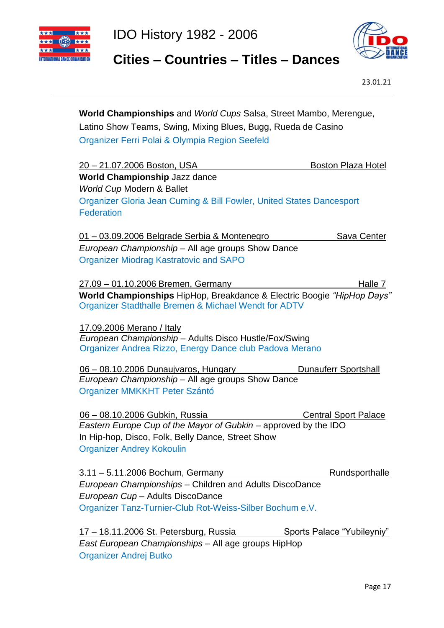



 **Cities – Countries – Titles – Dances**

23.01.21

| Organizer Ferri Polai & Olympia Region Seefeld<br><u> 20 – 21.07.2006 Boston, USA</u><br><b>Boston Plaza Hotel</b><br><b>World Championship Jazz dance</b><br><b>World Cup Modern &amp; Ballet</b><br>Organizer Gloria Jean Cuming & Bill Fowler, United States Dancesport<br><b>Federation</b><br>01 - 03.09.2006 Belgrade Serbia & Montenegro<br>Sava Center<br>European Championship - All age groups Show Dance<br><b>Organizer Miodrag Kastratovic and SAPO</b><br>Halle 7<br>27.09 - 01.10.2006 Bremen, Germany<br>World Championships HipHop, Breakdance & Electric Boogie "HipHop Days"<br>Organizer Stadthalle Bremen & Michael Wendt for ADTV<br>17.09.2006 Merano / Italy<br>European Championship - Adults Disco Hustle/Fox/Swing<br>Organizer Andrea Rizzo, Energy Dance club Padova Merano<br>06 - 08.10.2006 Dunaujvaros, Hungary Dunauferr Sportshall<br>European Championship - All age groups Show Dance<br>Organizer MMKKHT Peter Szántó<br>06 - 08.10.2006 Gubkin, Russia<br><b>Central Sport Palace</b><br>Eastern Europe Cup of the Mayor of Gubkin - approved by the IDO<br>In Hip-hop, Disco, Folk, Belly Dance, Street Show<br><b>Organizer Andrey Kokoulin</b> |  |  |  |
|------------------------------------------------------------------------------------------------------------------------------------------------------------------------------------------------------------------------------------------------------------------------------------------------------------------------------------------------------------------------------------------------------------------------------------------------------------------------------------------------------------------------------------------------------------------------------------------------------------------------------------------------------------------------------------------------------------------------------------------------------------------------------------------------------------------------------------------------------------------------------------------------------------------------------------------------------------------------------------------------------------------------------------------------------------------------------------------------------------------------------------------------------------------------------------------|--|--|--|
|                                                                                                                                                                                                                                                                                                                                                                                                                                                                                                                                                                                                                                                                                                                                                                                                                                                                                                                                                                                                                                                                                                                                                                                          |  |  |  |
|                                                                                                                                                                                                                                                                                                                                                                                                                                                                                                                                                                                                                                                                                                                                                                                                                                                                                                                                                                                                                                                                                                                                                                                          |  |  |  |
|                                                                                                                                                                                                                                                                                                                                                                                                                                                                                                                                                                                                                                                                                                                                                                                                                                                                                                                                                                                                                                                                                                                                                                                          |  |  |  |
|                                                                                                                                                                                                                                                                                                                                                                                                                                                                                                                                                                                                                                                                                                                                                                                                                                                                                                                                                                                                                                                                                                                                                                                          |  |  |  |
|                                                                                                                                                                                                                                                                                                                                                                                                                                                                                                                                                                                                                                                                                                                                                                                                                                                                                                                                                                                                                                                                                                                                                                                          |  |  |  |
|                                                                                                                                                                                                                                                                                                                                                                                                                                                                                                                                                                                                                                                                                                                                                                                                                                                                                                                                                                                                                                                                                                                                                                                          |  |  |  |
|                                                                                                                                                                                                                                                                                                                                                                                                                                                                                                                                                                                                                                                                                                                                                                                                                                                                                                                                                                                                                                                                                                                                                                                          |  |  |  |
|                                                                                                                                                                                                                                                                                                                                                                                                                                                                                                                                                                                                                                                                                                                                                                                                                                                                                                                                                                                                                                                                                                                                                                                          |  |  |  |
|                                                                                                                                                                                                                                                                                                                                                                                                                                                                                                                                                                                                                                                                                                                                                                                                                                                                                                                                                                                                                                                                                                                                                                                          |  |  |  |
|                                                                                                                                                                                                                                                                                                                                                                                                                                                                                                                                                                                                                                                                                                                                                                                                                                                                                                                                                                                                                                                                                                                                                                                          |  |  |  |
|                                                                                                                                                                                                                                                                                                                                                                                                                                                                                                                                                                                                                                                                                                                                                                                                                                                                                                                                                                                                                                                                                                                                                                                          |  |  |  |
|                                                                                                                                                                                                                                                                                                                                                                                                                                                                                                                                                                                                                                                                                                                                                                                                                                                                                                                                                                                                                                                                                                                                                                                          |  |  |  |
|                                                                                                                                                                                                                                                                                                                                                                                                                                                                                                                                                                                                                                                                                                                                                                                                                                                                                                                                                                                                                                                                                                                                                                                          |  |  |  |
|                                                                                                                                                                                                                                                                                                                                                                                                                                                                                                                                                                                                                                                                                                                                                                                                                                                                                                                                                                                                                                                                                                                                                                                          |  |  |  |
|                                                                                                                                                                                                                                                                                                                                                                                                                                                                                                                                                                                                                                                                                                                                                                                                                                                                                                                                                                                                                                                                                                                                                                                          |  |  |  |
|                                                                                                                                                                                                                                                                                                                                                                                                                                                                                                                                                                                                                                                                                                                                                                                                                                                                                                                                                                                                                                                                                                                                                                                          |  |  |  |
|                                                                                                                                                                                                                                                                                                                                                                                                                                                                                                                                                                                                                                                                                                                                                                                                                                                                                                                                                                                                                                                                                                                                                                                          |  |  |  |
|                                                                                                                                                                                                                                                                                                                                                                                                                                                                                                                                                                                                                                                                                                                                                                                                                                                                                                                                                                                                                                                                                                                                                                                          |  |  |  |
|                                                                                                                                                                                                                                                                                                                                                                                                                                                                                                                                                                                                                                                                                                                                                                                                                                                                                                                                                                                                                                                                                                                                                                                          |  |  |  |
|                                                                                                                                                                                                                                                                                                                                                                                                                                                                                                                                                                                                                                                                                                                                                                                                                                                                                                                                                                                                                                                                                                                                                                                          |  |  |  |
|                                                                                                                                                                                                                                                                                                                                                                                                                                                                                                                                                                                                                                                                                                                                                                                                                                                                                                                                                                                                                                                                                                                                                                                          |  |  |  |
| 3.11 - 5.11.2006 Bochum, Germany<br>Rundsporthalle                                                                                                                                                                                                                                                                                                                                                                                                                                                                                                                                                                                                                                                                                                                                                                                                                                                                                                                                                                                                                                                                                                                                       |  |  |  |
| European Championships - Children and Adults DiscoDance                                                                                                                                                                                                                                                                                                                                                                                                                                                                                                                                                                                                                                                                                                                                                                                                                                                                                                                                                                                                                                                                                                                                  |  |  |  |
| European Cup - Adults DiscoDance                                                                                                                                                                                                                                                                                                                                                                                                                                                                                                                                                                                                                                                                                                                                                                                                                                                                                                                                                                                                                                                                                                                                                         |  |  |  |
| Organizer Tanz-Turnier-Club Rot-Weiss-Silber Bochum e.V.                                                                                                                                                                                                                                                                                                                                                                                                                                                                                                                                                                                                                                                                                                                                                                                                                                                                                                                                                                                                                                                                                                                                 |  |  |  |
| <u>17 – 18.11.2006 St. Petersburg, Russia Sports Palace "Yubileyniy"</u>                                                                                                                                                                                                                                                                                                                                                                                                                                                                                                                                                                                                                                                                                                                                                                                                                                                                                                                                                                                                                                                                                                                 |  |  |  |
| East European Championships - All age groups HipHop                                                                                                                                                                                                                                                                                                                                                                                                                                                                                                                                                                                                                                                                                                                                                                                                                                                                                                                                                                                                                                                                                                                                      |  |  |  |

Organizer Andrej Butko